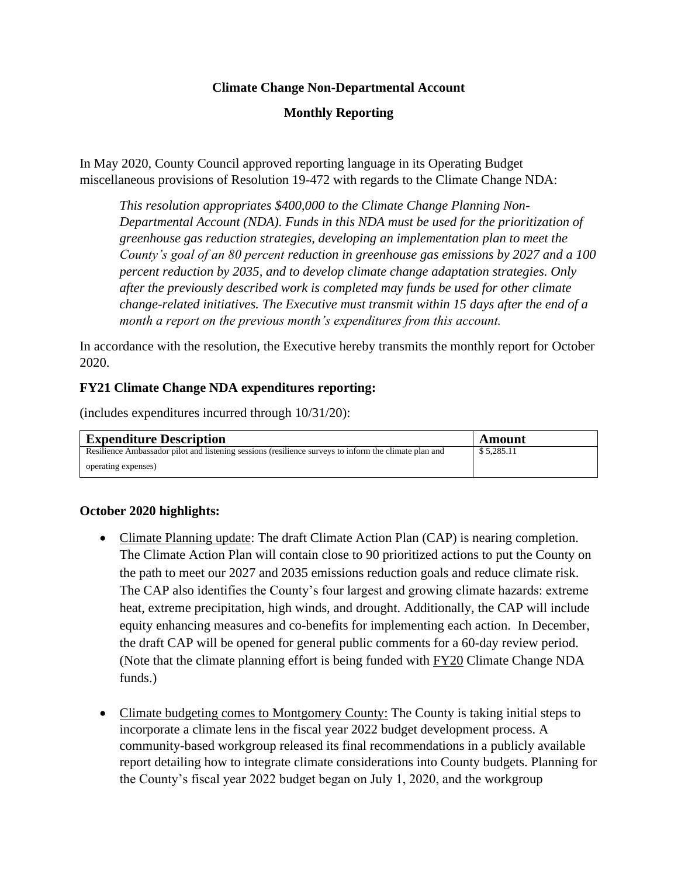## **Climate Change Non-Departmental Account**

# **Monthly Reporting**

In May 2020, County Council approved reporting language in its Operating Budget miscellaneous provisions of Resolution 19-472 with regards to the Climate Change NDA:

*This resolution appropriates \$400,000 to the Climate Change Planning Non-Departmental Account (NDA). Funds in this NDA must be used for the prioritization of greenhouse gas reduction strategies, developing an implementation plan to meet the County's goal of an 80 percent reduction in greenhouse gas emissions by 2027 and a 100 percent reduction by 2035, and to develop climate change adaptation strategies. Only after the previously described work is completed may funds be used for other climate change-related initiatives. The Executive must transmit within 15 days after the end of a month a report on the previous month's expenditures from this account.*

In accordance with the resolution, the Executive hereby transmits the monthly report for October 2020.

### **FY21 Climate Change NDA expenditures reporting:**

(includes expenditures incurred through 10/31/20):

| <b>Expenditure Description</b>                                                                        | Amount     |
|-------------------------------------------------------------------------------------------------------|------------|
| Resilience Ambassador pilot and listening sessions (resilience surveys to inform the climate plan and | \$5,285.11 |
| operating expenses)                                                                                   |            |

# **October 2020 highlights:**

- Climate Planning update: The draft Climate Action Plan (CAP) is nearing completion. The Climate Action Plan will contain close to 90 prioritized actions to put the County on the path to meet our 2027 and 2035 emissions reduction goals and reduce climate risk. The CAP also identifies the County's four largest and growing climate hazards: extreme heat, extreme precipitation, high winds, and drought. Additionally, the CAP will include equity enhancing measures and co-benefits for implementing each action. In December, the draft CAP will be opened for general public comments for a 60-day review period. (Note that the climate planning effort is being funded with FY20 Climate Change NDA funds.)
- Climate budgeting comes to Montgomery County: The County is taking initial steps to incorporate a climate lens in the fiscal year 2022 budget development process. A community-based workgroup released its final recommendations in a publicly available report detailing how to integrate climate considerations into County budgets. Planning for the County's fiscal year 2022 budget began on July 1, 2020, and the workgroup